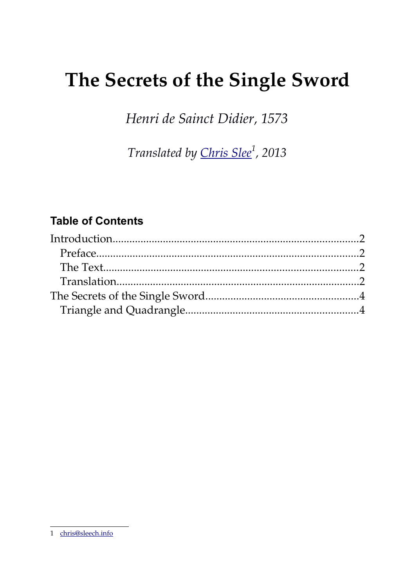# The Secrets of the Single Sword

Henri de Sainct Didier, 1573

Translated by Chris Slee<sup>1</sup>, 2013

# **Table of Contents**

<span id="page-0-0"></span><sup>1</sup> chris@sleech.info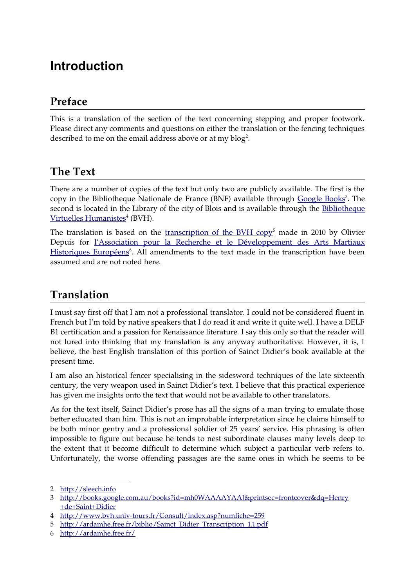# **Introduction**

### **Preface**

This is a translation of the section of the text concerning stepping and proper footwork. Please direct any comments and questions on either the translation or the fencing techniques described to me on the email address above or at my blog<sup>[2](#page-1-0)</sup>.

#### **The Text**

There are a number of copies of the text but only two are publicly available. The first is the copy in the Bibliotheque Nationale de France (BNF) available through [Google Books](http://books.google.com.au/books?id=mh0WAAAAYAAJ&printsec=frontcover&dq=Henry+de+Saint+Didier)<sup>[3](#page-1-1)</sup>. The second is located in the Library of the city of Blois and is available through the [Bibliotheque](http://www.bvh.univ-tours.fr/Consult/index.asp?numfiche=259) [Virtuelles Humanistes](http://www.bvh.univ-tours.fr/Consult/index.asp?numfiche=259)<sup>[4](#page-1-2)</sup> (BVH).

The translation is based on the <u>transcription of the BVH copy[5](#page-1-3)</u> made in 2010 by Olivier Depuis for  [l'Association pour la Recherche et le Développement des Arts Martiaux](http://ardamhe.free.fr/) [Historiques Européens](http://ardamhe.free.fr/)<sup>[6](#page-1-4)</sup>. All amendments to the text made in the transcription have been assumed and are not noted here.

## **Translation**

I must say first off that I am not a professional translator. I could not be considered fluent in French but I'm told by native speakers that I do read it and write it quite well. I have a DELF B1 certification and a passion for Renaissance literature. I say this only so that the reader will not lured into thinking that my translation is any anyway authoritative. However, it is, I believe, the best English translation of this portion of Sainct Didier's book available at the present time.

I am also an historical fencer specialising in the sidesword techniques of the late sixteenth century, the very weapon used in Sainct Didier's text. I believe that this practical experience has given me insights onto the text that would not be available to other translators.

As for the text itself, Sainct Didier's prose has all the signs of a man trying to emulate those better educated than him. This is not an improbable interpretation since he claims himself to be both minor gentry and a professional soldier of 25 years' service. His phrasing is often impossible to figure out because he tends to nest subordinate clauses many levels deep to the extent that it become difficult to determine which subject a particular verb refers to. Unfortunately, the worse offending passages are the same ones in which he seems to be

<span id="page-1-0"></span><sup>2</sup> [http://sleech.info](http://sleech.info/)

<span id="page-1-1"></span><sup>3</sup> [http://books.google.com.au/books?id=mh0WAAAAYAAJ&printsec=frontcover&dq=Henry](http://books.google.com.au/books?id=mh0WAAAAYAAJ&printsec=frontcover%20&dq=Henry%20+de+Saint+Didier) [+de+Saint+Didier](http://books.google.com.au/books?id=mh0WAAAAYAAJ&printsec=frontcover%20&dq=Henry%20+de+Saint+Didier)

<span id="page-1-2"></span><sup>4</sup> http://www.bvh.univ-tours.fr/Consult/index.asp?numfiche=259

<span id="page-1-3"></span><sup>5</sup> [http://ardamhe.free.fr/biblio/Sainct\\_Didier\\_Transcription\\_1.1.pdf](http://ardamhe.free.fr/biblio/Sainct_Didier_Transcription_1.1.pdf)

<span id="page-1-4"></span><sup>6</sup> <http://ardamhe.free.fr/>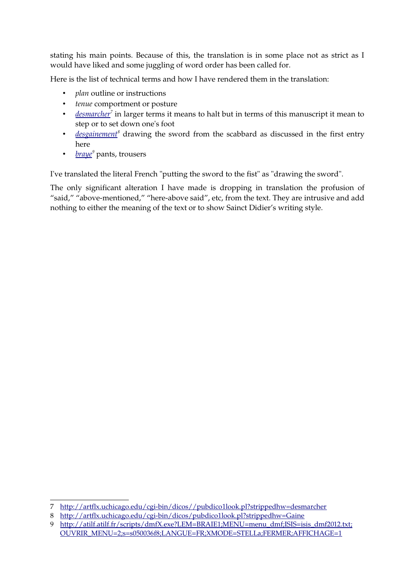stating his main points. Because of this, the translation is in some place not as strict as I would have liked and some juggling of word order has been called for.

Here is the list of technical terms and how I have rendered them in the translation:

- *plan* outline or instructions
- *tenue* comportment or posture
- *[desmarcher](http://artflx.uchicago.edu/cgi-bin/dicos//pubdico1look.pl?strippedhw=desmarcher)<sup>[7](#page-2-0)</sup>* in larger terms it means to halt but in terms of this manuscript it mean to step or to set down one's foot
- *[desgainement](http://artflx.uchicago.edu/cgi-bin/dicos/pubdico1look.pl?strippedhw=Gaine)<sup>[8](#page-2-1)</sup>* drawing the sword from the scabbard as discussed in the first entry here
- *[braye](http://atilf.atilf.fr/scripts/dmfX.exe?LEM=BRAIE1;MENU=menu_dmf;ISIS=isis_dmf2012.txt;OUVRIR_MENU=2;s=s050036f8;LANGUE=FR;XMODE=STELLa;FERMER;AFFICHAGE=1)<sup>[9](#page-2-2)</sup> pants, trousers*

I've translated the literal French "putting the sword to the fist" as "drawing the sword".

The only significant alteration I have made is dropping in translation the profusion of "said," "above-mentioned," "here-above said", etc, from the text. They are intrusive and add nothing to either the meaning of the text or to show Sainct Didier's writing style.

<span id="page-2-0"></span><sup>7</sup> http://artflx.uchicago.edu/cgi-bin/dicos//pubdico1look.pl?strippedhw=desmarcher

<span id="page-2-1"></span><sup>8</sup> http://artflx.uchicago.edu/cgi-bin/dicos/pubdico1look.pl?strippedhw=Gaine

<span id="page-2-2"></span><sup>9</sup> http://atilf.atilf.fr/scripts/dmfX.exe?LEM=BRAIE1;MENU=menu\_dmf;ISIS=isis\_dmf2012.tx[t;](http://atilf.atilf.fr/scripts/dmfX.exe?LEM=BRAIE1;MENU=menu_dmf;ISIS=isis_dmf2012.txt;OUVRIR_MENU=2;s=s050036f8;LANGUE=FR;XMODE=STELLa;FERMER;AFFICHAGE=1) [OUVRIR\\_MENU=2;s=s050036f8;LANGUE=FR;XMODE=STELLa;FERMER;AFFICHAGE=1](http://atilf.atilf.fr/scripts/dmfX.exe?LEM=BRAIE1;MENU=menu_dmf;ISIS=isis_dmf2012.txt;OUVRIR_MENU=2;s=s050036f8;LANGUE=FR;XMODE=STELLa;FERMER;AFFICHAGE=1)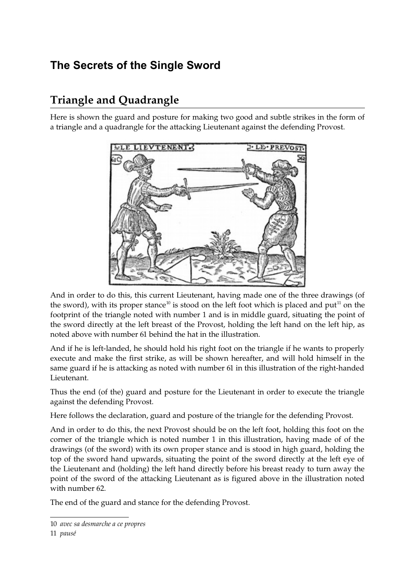# **The Secrets of the Single Sword**

# **Triangle and Quadrangle**

Here is shown the guard and posture for making two good and subtle strikes in the form of a triangle and a quadrangle for the attacking Lieutenant against the defending Provost.



And in order to do this, this current Lieutenant, having made one of the three drawings (of the sword), with its proper stance<sup>[10](#page-3-0)</sup> is stood on the left foot which is placed and put<sup>[11](#page-3-1)</sup> on the footprint of the triangle noted with number 1 and is in middle guard, situating the point of the sword directly at the left breast of the Provost, holding the left hand on the left hip, as noted above with number 61 behind the hat in the illustration.

And if he is left-landed, he should hold his right foot on the triangle if he wants to properly execute and make the first strike, as will be shown hereafter, and will hold himself in the same guard if he is attacking as noted with number 61 in this illustration of the right-handed Lieutenant.

Thus the end (of the) guard and posture for the Lieutenant in order to execute the triangle against the defending Provost.

Here follows the declaration, guard and posture of the triangle for the defending Provost.

And in order to do this, the next Provost should be on the left foot, holding this foot on the corner of the triangle which is noted number 1 in this illustration, having made of of the drawings (of the sword) with its own proper stance and is stood in high guard, holding the top of the sword hand upwards, situating the point of the sword directly at the left eye of the Lieutenant and (holding) the left hand directly before his breast ready to turn away the point of the sword of the attacking Lieutenant as is figured above in the illustration noted with number 62.

The end of the guard and stance for the defending Provost.

<span id="page-3-0"></span><sup>10</sup> *avec sa desmarche a ce propres*

<span id="page-3-1"></span><sup>11</sup> *pausé*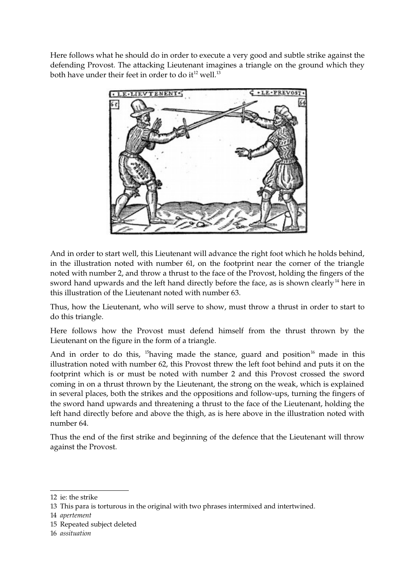Here follows what he should do in order to execute a very good and subtle strike against the defending Provost. The attacking Lieutenant imagines a triangle on the ground which they both have under their feet in order to do  $it^{12}$  $it^{12}$  $it^{12}$  well.<sup>[13](#page-4-1)</sup>



And in order to start well, this Lieutenant will advance the right foot which he holds behind, in the illustration noted with number 61, on the footprint near the corner of the triangle noted with number 2, and throw a thrust to the face of the Provost, holding the fingers of the sword hand upwards and the left hand directly before the face, as is shown clearly<sup>[14](#page-4-2)</sup> here in this illustration of the Lieutenant noted with number 63.

Thus, how the Lieutenant, who will serve to show, must throw a thrust in order to start to do this triangle.

Here follows how the Provost must defend himself from the thrust thrown by the Lieutenant on the figure in the form of a triangle.

And in order to do this,  $15$  having made the stance, guard and position<sup>[16](#page-4-4)</sup> made in this illustration noted with number 62, this Provost threw the left foot behind and puts it on the footprint which is or must be noted with number 2 and this Provost crossed the sword coming in on a thrust thrown by the Lieutenant, the strong on the weak, which is explained in several places, both the strikes and the oppositions and follow-ups, turning the fingers of the sword hand upwards and threatening a thrust to the face of the Lieutenant, holding the left hand directly before and above the thigh, as is here above in the illustration noted with number 64.

Thus the end of the first strike and beginning of the defence that the Lieutenant will throw against the Provost.

- <span id="page-4-3"></span>15 Repeated subject deleted
- <span id="page-4-4"></span>16 *assituation*

<span id="page-4-0"></span><sup>12</sup> ie: the strike

<span id="page-4-1"></span><sup>13</sup> This para is torturous in the original with two phrases intermixed and intertwined.

<span id="page-4-2"></span><sup>14</sup> *apertement*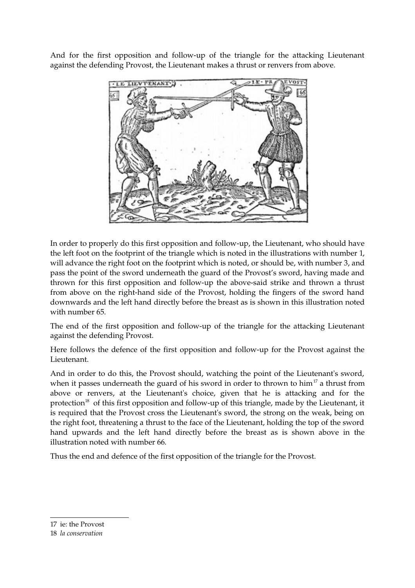And for the first opposition and follow-up of the triangle for the attacking Lieutenant against the defending Provost, the Lieutenant makes a thrust or renvers from above.



In order to properly do this first opposition and follow-up, the Lieutenant, who should have the left foot on the footprint of the triangle which is noted in the illustrations with number 1, will advance the right foot on the footprint which is noted, or should be, with number 3, and pass the point of the sword underneath the guard of the Provost's sword, having made and thrown for this first opposition and follow-up the above-said strike and thrown a thrust from above on the right-hand side of the Provost, holding the fingers of the sword hand downwards and the left hand directly before the breast as is shown in this illustration noted with number 65.

The end of the first opposition and follow-up of the triangle for the attacking Lieutenant against the defending Provost.

Here follows the defence of the first opposition and follow-up for the Provost against the Lieutenant.

And in order to do this, the Provost should, watching the point of the Lieutenant's sword, when it passes underneath the guard of his sword in order to thrown to him<sup>[17](#page-5-0)</sup> a thrust from above or renvers, at the Lieutenant's choice, given that he is attacking and for the protection<sup>[18](#page-5-1)</sup> of this first opposition and follow-up of this triangle, made by the Lieutenant, it is required that the Provost cross the Lieutenant's sword, the strong on the weak, being on the right foot, threatening a thrust to the face of the Lieutenant, holding the top of the sword hand upwards and the left hand directly before the breast as is shown above in the illustration noted with number 66.

Thus the end and defence of the first opposition of the triangle for the Provost.

<span id="page-5-0"></span>17 ie: the Provost

<span id="page-5-1"></span>18 *la conservation*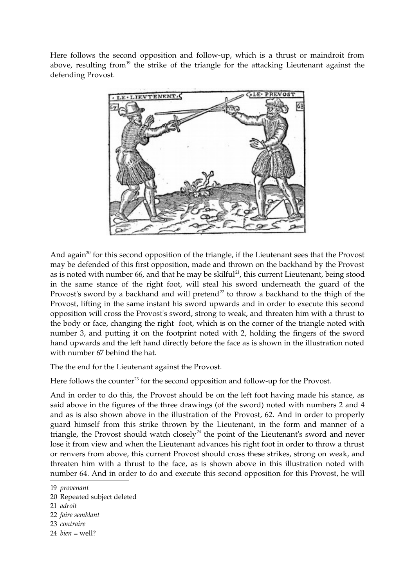Here follows the second opposition and follow-up, which is a thrust or maindroit from above, resulting from<sup>[19](#page-6-0)</sup> the strike of the triangle for the attacking Lieutenant against the defending Provost.



And again<sup>[20](#page-6-1)</sup> for this second opposition of the triangle, if the Lieutenant sees that the Provost may be defended of this first opposition, made and thrown on the backhand by the Provost as is noted with number 66, and that he may be skilful<sup>[21](#page-6-2)</sup>, this current Lieutenant, being stood in the same stance of the right foot, will steal his sword underneath the guard of the Provost's sword by a backhand and will pretend<sup>[22](#page-6-3)</sup> to throw a backhand to the thigh of the Provost, lifting in the same instant his sword upwards and in order to execute this second opposition will cross the Provost's sword, strong to weak, and threaten him with a thrust to the body or face, changing the right foot, which is on the corner of the triangle noted with number 3, and putting it on the footprint noted with 2, holding the fingers of the sword hand upwards and the left hand directly before the face as is shown in the illustration noted with number 67 behind the hat.

The the end for the Lieutenant against the Provost.

Here follows the counter<sup>[23](#page-6-4)</sup> for the second opposition and follow-up for the Provost.

And in order to do this, the Provost should be on the left foot having made his stance, as said above in the figures of the three drawings (of the sword) noted with numbers 2 and 4 and as is also shown above in the illustration of the Provost, 62. And in order to properly guard himself from this strike thrown by the Lieutenant, in the form and manner of a triangle, the Provost should watch closely<sup>[24](#page-6-5)</sup> the point of the Lieutenant's sword and never lose it from view and when the Lieutenant advances his right foot in order to throw a thrust or renvers from above, this current Provost should cross these strikes, strong on weak, and threaten him with a thrust to the face, as is shown above in this illustration noted with number 64. And in order to do and execute this second opposition for this Provost, he will

- <span id="page-6-4"></span>23 *contraire*
- <span id="page-6-5"></span>24 *bien* = well?

<span id="page-6-0"></span><sup>19</sup> *provenant*

<span id="page-6-1"></span><sup>20</sup> Repeated subject deleted

<span id="page-6-2"></span><sup>21</sup> *adroit*

<span id="page-6-3"></span><sup>22</sup> *faire semblant*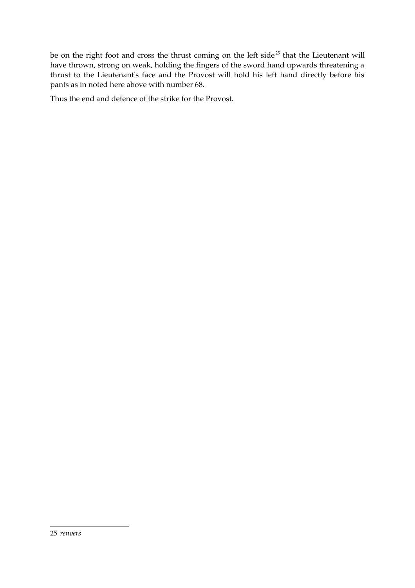be on the right foot and cross the thrust coming on the left side<sup>[25](#page-7-0)</sup> that the Lieutenant will have thrown, strong on weak, holding the fingers of the sword hand upwards threatening a thrust to the Lieutenant's face and the Provost will hold his left hand directly before his pants as in noted here above with number 68.

<span id="page-7-0"></span>Thus the end and defence of the strike for the Provost.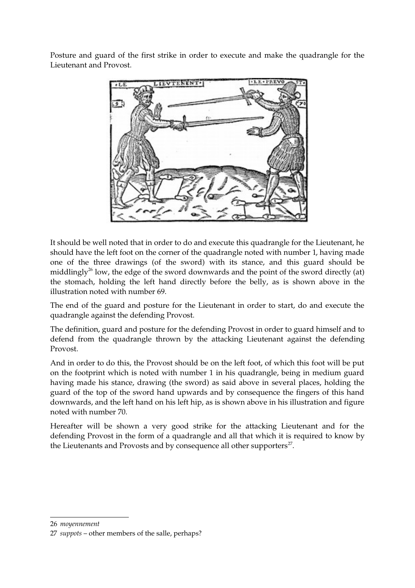Posture and guard of the first strike in order to execute and make the quadrangle for the Lieutenant and Provost.



It should be well noted that in order to do and execute this quadrangle for the Lieutenant, he should have the left foot on the corner of the quadrangle noted with number 1, having made one of the three drawings (of the sword) with its stance, and this guard should be middlingly<sup>[26](#page-8-0)</sup> low, the edge of the sword downwards and the point of the sword directly (at) the stomach, holding the left hand directly before the belly, as is shown above in the illustration noted with number 69.

The end of the guard and posture for the Lieutenant in order to start, do and execute the quadrangle against the defending Provost.

The definition, guard and posture for the defending Provost in order to guard himself and to defend from the quadrangle thrown by the attacking Lieutenant against the defending Provost.

And in order to do this, the Provost should be on the left foot, of which this foot will be put on the footprint which is noted with number 1 in his quadrangle, being in medium guard having made his stance, drawing (the sword) as said above in several places, holding the guard of the top of the sword hand upwards and by consequence the fingers of this hand downwards, and the left hand on his left hip, as is shown above in his illustration and figure noted with number 70.

Hereafter will be shown a very good strike for the attacking Lieutenant and for the defending Provost in the form of a quadrangle and all that which it is required to know by the Lieutenants and Provosts and by consequence all other supporters $^{27}$  $^{27}$  $^{27}$ .

<span id="page-8-0"></span>26 *moyennement*

<span id="page-8-1"></span><sup>27</sup> *suppots* – other members of the salle, perhaps?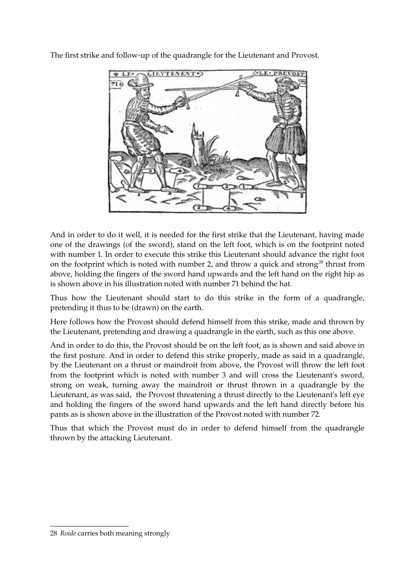The first strike and follow-up of the quadrangle for the Lieutenant and Provost.



And in order to do it well, it is needed for the first strike that the Lieutenant, having made one of the drawings (of the sword), stand on the left foot, which is on the footprint noted with number 1. In order to execute this strike this Lieutenant should advance the right foot on the footprint which is noted with number 2, and throw a quick and strong<sup>[28](#page-9-0)</sup> thrust from above, holding the fingers of the sword hand upwards and the left hand on the right hip as is shown above in his illustration noted with number 71 behind the hat.

Thus how the Lieutenant should start to do this strike in the form of a quadrangle, pretending it thus to be (drawn) on the earth.

Here follows how the Provost should defend himself from this strike, made and thrown by the Lieutenant, pretending and drawing a quadrangle in the earth, such as this one above.

And in order to do this, the Provost should be on the left foot, as is shown and said above in the first posture. And in order to defend this strike properly, made as said in a quadrangle, by the Lieutenant on a thrust or maindroit from above, the Provost will throw the left foot from the footprint which is noted with number 3 and will cross the Lieutenant's sword, strong on weak, turning away the maindroit or thrust thrown in a quadrangle by the Lieutenant, as was said, the Provost threatening a thrust directly to the Lieutenant's left eye and holding the fingers of the sword hand upwards and the left hand directly before his pants as is shown above in the illustration of the Provost noted with number 72.

Thus that which the Provost must do in order to defend himself from the quadrangle thrown by the attacking Lieutenant.

<span id="page-9-0"></span><sup>28</sup> *Roide* carries both meaning strongly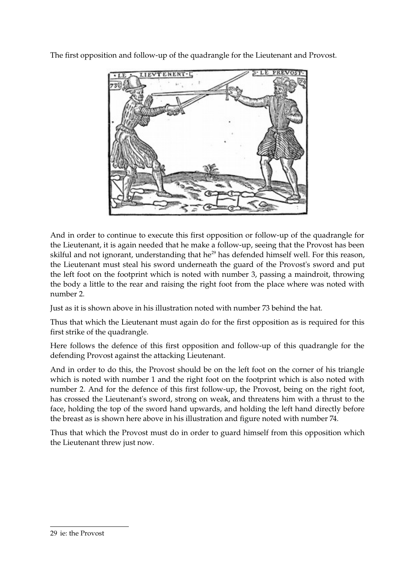The first opposition and follow-up of the quadrangle for the Lieutenant and Provost.



And in order to continue to execute this first opposition or follow-up of the quadrangle for the Lieutenant, it is again needed that he make a follow-up, seeing that the Provost has been skilful and not ignorant, understanding that he<sup>[29](#page-10-0)</sup> has defended himself well. For this reason, the Lieutenant must steal his sword underneath the guard of the Provost's sword and put the left foot on the footprint which is noted with number 3, passing a maindroit, throwing the body a little to the rear and raising the right foot from the place where was noted with number 2.

Just as it is shown above in his illustration noted with number 73 behind the hat.

Thus that which the Lieutenant must again do for the first opposition as is required for this first strike of the quadrangle.

Here follows the defence of this first opposition and follow-up of this quadrangle for the defending Provost against the attacking Lieutenant.

And in order to do this, the Provost should be on the left foot on the corner of his triangle which is noted with number 1 and the right foot on the footprint which is also noted with number 2. And for the defence of this first follow-up, the Provost, being on the right foot, has crossed the Lieutenant's sword, strong on weak, and threatens him with a thrust to the face, holding the top of the sword hand upwards, and holding the left hand directly before the breast as is shown here above in his illustration and figure noted with number 74.

Thus that which the Provost must do in order to guard himself from this opposition which the Lieutenant threw just now.

<span id="page-10-0"></span><sup>29</sup> ie: the Provost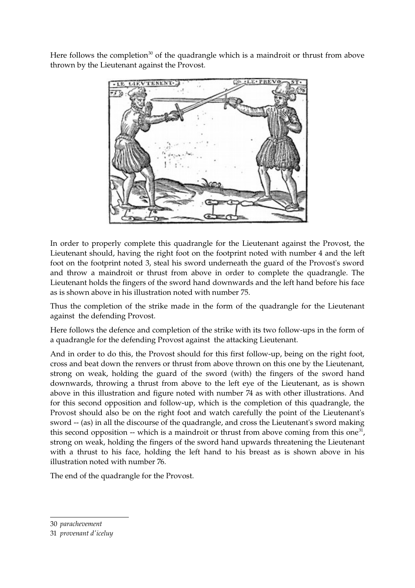Here follows the completion<sup>[30](#page-11-0)</sup> of the quadrangle which is a maindroit or thrust from above thrown by the Lieutenant against the Provost.



In order to properly complete this quadrangle for the Lieutenant against the Provost, the Lieutenant should, having the right foot on the footprint noted with number 4 and the left foot on the footprint noted 3, steal his sword underneath the guard of the Provost's sword and throw a maindroit or thrust from above in order to complete the quadrangle. The Lieutenant holds the fingers of the sword hand downwards and the left hand before his face as is shown above in his illustration noted with number 75.

Thus the completion of the strike made in the form of the quadrangle for the Lieutenant against the defending Provost.

Here follows the defence and completion of the strike with its two follow-ups in the form of a quadrangle for the defending Provost against the attacking Lieutenant.

And in order to do this, the Provost should for this first follow-up, being on the right foot, cross and beat down the renvers or thrust from above thrown on this one by the Lieutenant, strong on weak, holding the guard of the sword (with) the fingers of the sword hand downwards, throwing a thrust from above to the left eye of the Lieutenant, as is shown above in this illustration and figure noted with number 74 as with other illustrations. And for this second opposition and follow-up, which is the completion of this quadrangle, the Provost should also be on the right foot and watch carefully the point of the Lieutenant's sword -- (as) in all the discourse of the quadrangle, and cross the Lieutenant's sword making this second opposition -- which is a maindroit or thrust from above coming from this one<sup>[31](#page-11-1)</sup>, strong on weak, holding the fingers of the sword hand upwards threatening the Lieutenant with a thrust to his face, holding the left hand to his breast as is shown above in his illustration noted with number 76.

The end of the quadrangle for the Provost.

<span id="page-11-0"></span><sup>30</sup> *parachevement*

<span id="page-11-1"></span><sup>31</sup> *provenant d'iceluy*